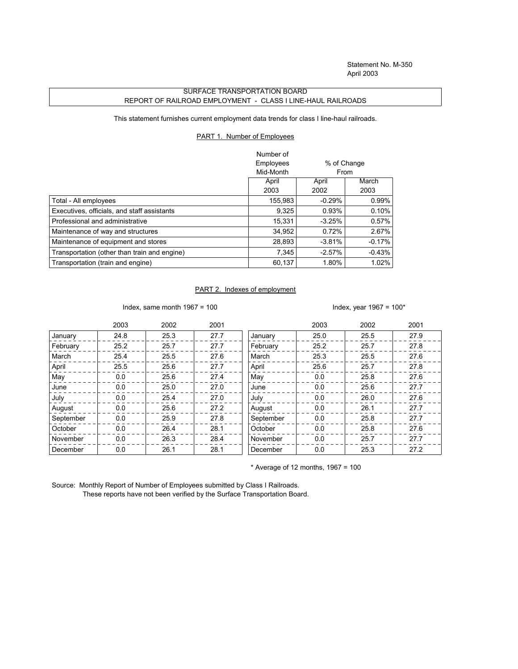Statement No. M-350 April 2003

## SURFACE TRANSPORTATION BOARD REPORT OF RAILROAD EMPLOYMENT - CLASS I LINE-HAUL RAILROADS

This statement furnishes current employment data trends for class I line-haul railroads.

## PART 1. Number of Employees

|                                              | Number of |             |          |
|----------------------------------------------|-----------|-------------|----------|
|                                              | Employees | % of Change |          |
|                                              | Mid-Month | From        |          |
|                                              | April     | April       | March    |
|                                              | 2003      | 2002        | 2003     |
| Total - All employees                        | 155,983   | $-0.29%$    | 0.99%    |
| Executives, officials, and staff assistants  | 9,325     | 0.93%       | 0.10%    |
| Professional and administrative              | 15.331    | $-3.25%$    | 0.57%    |
| Maintenance of way and structures            | 34,952    | 0.72%       | 2.67%    |
| Maintenance of equipment and stores          | 28,893    | $-3.81%$    | $-0.17%$ |
| Transportation (other than train and engine) | 7.345     | $-2.57%$    | $-0.43%$ |
| Transportation (train and engine)            | 60,137    | 1.80%       | 1.02%    |

## PART 2. Indexes of employment

Index, same month 1967 = 100  $\blacksquare$ 

|           | 2003 | 2002 | 2001 |           | 2003 | 2002 | 2001 |
|-----------|------|------|------|-----------|------|------|------|
| January   | 24.8 | 25.3 | 27.7 | January   | 25.0 | 25.5 | 27.9 |
| February  | 25.2 | 25.7 | 27.7 | February  | 25.2 | 25.7 | 27.8 |
| March     | 25.4 | 25.5 | 27.6 | March     | 25.3 | 25.5 | 27.6 |
| April     | 25.5 | 25.6 | 27.7 | April     | 25.6 | 25.7 | 27.8 |
| May       | 0.0  | 25.6 | 27.4 | May       | 0.0  | 25.8 | 27.6 |
| June      | 0.0  | 25.0 | 27.0 | June      | 0.0  | 25.6 | 27.7 |
| July      | 0.0  | 25.4 | 27.0 | July      | 0.0  | 26.0 | 27.6 |
| August    | 0.0  | 25.6 | 27.2 | August    | 0.0  | 26.1 | 27.7 |
| September | 0.0  | 25.9 | 27.8 | September | 0.0  | 25.8 | 27.7 |
| October   | 0.0  | 26.4 | 28.1 | October   | 0.0  | 25.8 | 27.6 |
| November  | 0.0  | 26.3 | 28.4 | November  | 0.0  | 25.7 | 27.7 |
| December  | 0.0  | 26.1 | 28.1 | December  | 0.0  | 25.3 | 27.2 |

 $*$  Average of 12 months, 1967 = 100

Source: Monthly Report of Number of Employees submitted by Class I Railroads. These reports have not been verified by the Surface Transportation Board.